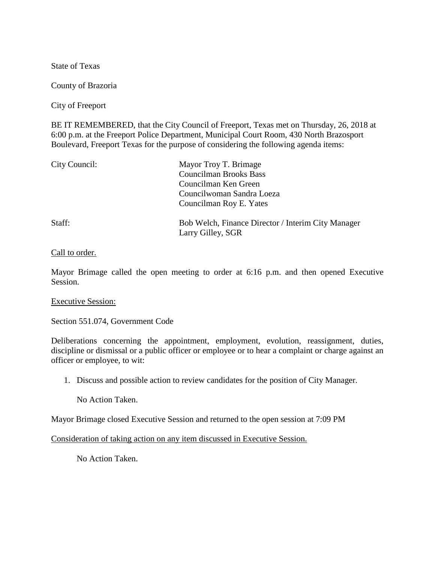State of Texas

County of Brazoria

City of Freeport

BE IT REMEMBERED, that the City Council of Freeport, Texas met on Thursday, 26, 2018 at 6:00 p.m. at the Freeport Police Department, Municipal Court Room, 430 North Brazosport Boulevard, Freeport Texas for the purpose of considering the following agenda items:

| City Council: | Mayor Troy T. Brimage<br><b>Councilman Brooks Bass</b><br>Councilman Ken Green<br>Councilwoman Sandra Loeza<br>Councilman Roy E. Yates |
|---------------|----------------------------------------------------------------------------------------------------------------------------------------|
| Staff:        | Bob Welch, Finance Director / Interim City Manager<br>Larry Gilley, SGR                                                                |

## Call to order.

Mayor Brimage called the open meeting to order at 6:16 p.m. and then opened Executive Session.

## Executive Session:

Section 551.074, Government Code

Deliberations concerning the appointment, employment, evolution, reassignment, duties, discipline or dismissal or a public officer or employee or to hear a complaint or charge against an officer or employee, to wit:

1. Discuss and possible action to review candidates for the position of City Manager.

No Action Taken.

Mayor Brimage closed Executive Session and returned to the open session at 7:09 PM

Consideration of taking action on any item discussed in Executive Session.

No Action Taken.